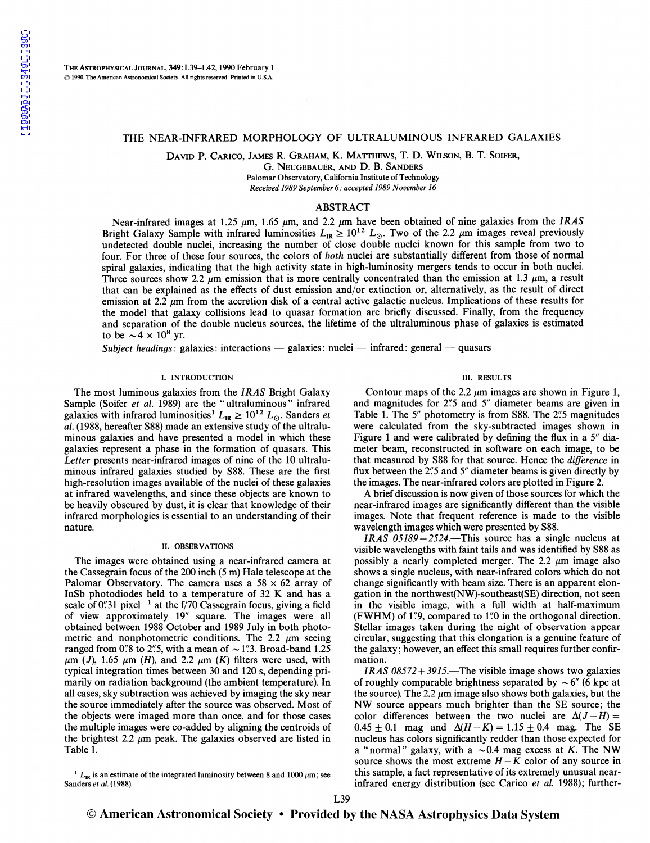### THE NEAR-INFRARED MORPHOLOGY OF ULTRALUMINOUS INFRARED GALAXIES

DAVID P. CARICO, JAMES R. GRAHAM, K. MATTHEWS, T. D. WILSON, B. T. SOIFER,

G. NEUGEBAUER, AND D. B. SANDERS

Palomar Observatory, California Institute of Technology *Received 1989 September 6; accepted 1989 November 16* 

### ABSTRACT

Near-infrared images at 1.25 *µm,* 1.65 *µm,* and 2.2 *µm* have been obtained of nine galaxies from the *IRAS*  Bright Galaxy Sample with infrared luminosities  $L_{\text{IR}} \geq 10^{12} L_{\odot}$ . Two of the 2.2  $\mu$ m images reveal previously undetected double nuclei, increasing the number of close double nuclei known for this sample from two to four. For three of these four sources, the colors of *both* nuclei are substantially different from those of normal spiral galaxies, indicating that the high activity state in high-luminosity mergers tends to occur in both nuclei. Three sources show 2.2  $\mu$ m emission that is more centrally concentrated than the emission at 1.3  $\mu$ m, a result that can be explained as the effects of dust emission and/or extinction or, alternatively, as the result of direct emission at 2.2 *µm* from the accretion disk of a central active galactic nucleus. Implications of these results for the model that galaxy collisions lead to quasar formation are briefly discussed. Finally, from the frequency and separation of the double nucleus sources, the lifetime of the ultraluminous phase of galaxies is estimated to be  $\sim 4 \times 10^8$  yr.

*Subject headings: galaxies: interactions — galaxies: nuclei — infrared: general — quasars* 

#### I. INTRODUCTION

The most luminous galaxies from the *IRAS* Bright Galaxy Sample (Soifer *et al.* 1989) are the "ultraluminous" infrared galaxies with infrared luminosities<sup>1</sup>  $L_{IR} \geq 10^{12} L_{\odot}$ . Sanders *et al.* (1988, hereafter S88) made an extensive study of the ultraluminous galaxies and have presented a model in which these galaxies represent a phase in the formation of quasars. This *Letter* presents near-infrared images of nine of the 10 ultraluminous infrared galaxies studied by S88. These are the first high-resolution images available of the nuclei of these galaxies at infrared wavelengths, and since these objects are known to be heavily obscured by dust, it is clear that knowledge of their infrared morphologies is essential to an understanding of their nature.

#### II. OBSERVATIONS

The images were obtained using a near-infrared camera at the Cassegrain focus of the 200 inch (5 m) Hale telescope at the Palomar Observatory. The camera uses a  $58 \times 62$  array of InSb photodiodes held to a temperature of 32 K and has a scale of 0".31 pixel<sup>-1</sup> at the f/70 Cassegrain focus, giving a field of view approximately 19" square. The images were all obtained between 1988 October and 1989 July in both photometric and nonphotometric conditions. The 2.2 *µm* seeing ranged from 0''s to 2''.5, with a mean of  $\sim$  1''.3. Broad-band 1.25  $\mu$ m (J), 1.65  $\mu$ m (H), and 2.2  $\mu$ m (K) filters were used, with typical integration times between 30 and 120 s, depending primarily on radiation background (the ambient temperature). In all cases, sky subtraction was achieved by imaging the sky near the source immediately after the source was observed. Most of the objects were imaged more than once, and for those cases the multiple images were co-added by aligning the centroids of the brightest 2.2  $\mu$ m peak. The galaxies observed are listed in Table 1.

<sup>1</sup>  $L_{IR}$  is an estimate of the integrated luminosity between 8 and 1000  $\mu$ m; see Sanders *et al.* (1988).

# III. RESULTS

Contour maps of the 2.2  $\mu$ m images are shown in Figure 1, and magnitudes for 2"5 and 5" diameter beams are given in Table 1. The *5"* photometry is from S88. The *2':5* magnitudes were calculated from the sky-subtracted images shown in Figure 1 and were calibrated by defining the flux in a *5"* diameter beam, reconstructed in software on each image, to be that measured by S88 for that source. Hence the *difference* in flux between the *2':5* and *5"* diameter beams is given directly by the images. The near-infrared colors are plotted in Figure 2.

A brief discussion is now given of those sources for which the near-infrared images are significantly different than the visible images. Note that frequent reference is made to the visible wavelength images which were presented by S88.

*IRAS 05189-2524.-This* source has a single nucleus at visible wavelengths with faint tails and was identified by S88 as possibly a nearly completed merger. The 2.2 *µm* image also shows a single nucleus, with near-infrared colors which do not change significantly with beam size. There is an apparent elongation in the northwest(NW)-southeast(SE) direction, not seen in the visible image, with a full width at half-maximum (FWHM) of 1"9, compared to 1"0 in the orthogonal direction. Stellar images taken during the night of observation appear circular, suggesting that this elongation is a genuine feature of the galaxy; however, an effect this small requires further confirmation.

*IRAS 08572+3915.-The* visible image shows two galaxies of roughly comparable brightness separated by  $\sim 6''$  (6 kpc at the source). The 2.2  $\mu$ m image also shows both galaxies, but the NW source appears much brighter than the SE source; the color differences between the two nuclei are  $\Delta(J-H)$  =  $0.45 \pm 0.1$  mag and  $\Delta(H - K) = 1.15 \pm 0.4$  mag. The SE nucleus has colors significantly redder than those expected for a "normal" galaxy, with a  $\sim 0.4$  mag excess at K. The NW source shows the most extreme  $H - K$  color of any source in this sample, a fact representative of its extremely unusual nearinfrared energy distribution (see Carico *et al.* 1988); further-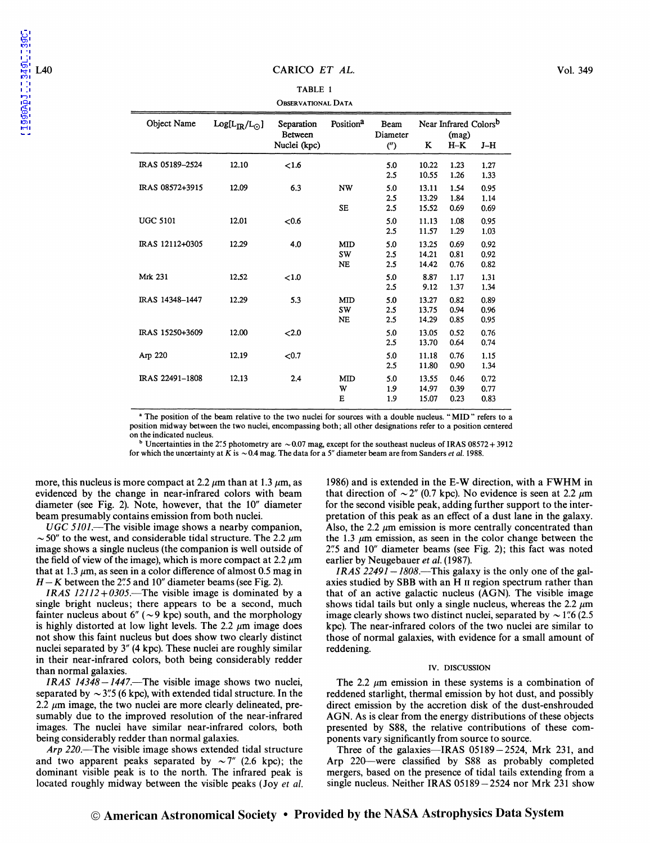### L40 CARICO *ET AL.* Vol. 349

### TABLE 1 OBSERVATIONAL DATA

| Object Name     | $Log[L_{IR}/L_{\odot}]$ | Separation<br><b>Between</b> | Position <sup>a</sup> | Beam<br>Diameter | Near Infrared Colors <sup>b</sup><br>(mag) |              |              |
|-----------------|-------------------------|------------------------------|-----------------------|------------------|--------------------------------------------|--------------|--------------|
|                 |                         | Nuclei (kpc)                 |                       | $($ ")           | K                                          | $H-K$        | J-H          |
| IRAS 05189-2524 | 12.10                   | < 1.6                        |                       | 5.0<br>2.5       | 10.22<br>10.55                             | 1.23<br>1.26 | 1.27<br>1.33 |
| IRAS 08572+3915 | 12.09                   | 6.3                          | <b>NW</b>             | 5.0              | 13.11                                      | 1.54         | 0.95         |
|                 |                         |                              |                       | 2.5              | 13.29                                      | 1.84         | 1.14         |
|                 |                         |                              | <b>SE</b>             | 2.5              | 15.52                                      | 0.69         | 0.69         |
| <b>UGC 5101</b> | 12.01                   | < 0.6                        |                       | 5.0              | 11.13                                      | 1.08         | 0.95         |
|                 |                         |                              |                       | 2.5              | 11.57                                      | 1.29         | 1.03         |
| IRAS 12112+0305 | 12.29                   | 4.0                          | <b>MID</b>            | 5.0              | 13.25                                      | 0.69         | 0.92         |
|                 |                         |                              | SW                    | 2.5              | 14.21                                      | 0.81         | 0.92         |
|                 |                         |                              | <b>NE</b>             | 2.5              | 14.42                                      | 0.76         | 0.82         |
| <b>Mrk 231</b>  | 12.52                   | ${<}1.0$                     |                       | 5.0              | 8.87                                       | 1.17         | 1.31         |
|                 |                         |                              |                       | 2.5              | 9.12                                       | 1.37         | 1.34         |
| IRAS 14348-1447 | 12.29                   | 5.3                          | <b>MID</b>            | 5.0              | 13.27                                      | 0.82         | 0.89         |
|                 |                         |                              | <b>SW</b>             | 2.5              | 13.75                                      | 0.94         | 0.96         |
|                 |                         |                              | <b>NE</b>             | 2.5              | 14.29                                      | 0.85         | 0.95         |
| IRAS 15250+3609 | 12.00                   | 2.0                          |                       | 5.0              | 13.05                                      | 0.52         | 0.76         |
|                 |                         |                              |                       | 2.5              | 13.70                                      | 0.64         | 0.74         |
| Arp 220         | 12.19                   | $0.7$                        |                       | 5.0              | 11.18                                      | 0.76         | 1.15         |
|                 |                         |                              |                       | 2.5              | 11.80                                      | 0.90         | 1.34         |
| IRAS 22491-1808 | 12.13                   | 2.4                          | <b>MID</b>            | 5.0              | 13.55                                      | 0.46         | 0.72         |
|                 |                         |                              | W                     | 1.9              | 14.97                                      | 0.39         | 0.77         |
|                 |                         |                              | E                     | 1.9              | 15.07                                      | 0.23         | 0.83         |

<sup>a</sup> The position of the beam relative to the two nuclei for sources with a double nucleus. "MID" refers to a position midway between the two nuclei, encompassing both; all other designations refer to a position centered on

Uncertainties in the 2''.5 photometry are  $\sim$  0.07 mag, except for the southeast nucleus of IRAS 08572 + 3912 for which the uncertainty at K is  $\sim 0.4$  mag. The data for a 5<sup>"</sup> diameter beam are from Sanders *et al.* 1988.

more, this nucleus is more compact at 2.2  $\mu$ m than at 1.3  $\mu$ m, as evidenced by the change in near-infrared colors with beam diameter (see Fig. 2). Note, however, that the 10" diameter beam presumably contains emission from both nuclei.

*UGC 5101.-The* visible image shows a nearby companion,  $\sim$  50" to the west, and considerable tidal structure. The 2.2  $\mu$ m image shows a single nucleus (the companion is well outside of the field of view of the image), which is more compact at 2.2  $\mu$ m that at 1.3  $\mu$ m, as seen in a color difference of almost 0.5 mag in  $H - K$  between the 2".5 and 10" diameter beams (see Fig. 2).

*IRAS 12112+0305.-The* visible image is dominated by a single bright nucleus; there appears to be a second, much fainter nucleus about  $6''$  ( $\sim$ 9 kpc) south, and the morphology is highly distorted at low light levels. The 2.2  $\mu$ m image does not show this faint nucleus but does show two clearly distinct nuclei separated by 3" (4 kpc). These nuclei are roughly similar in their near-infrared colors, both being considerably redder than normal galaxies.

*I RAS 14348 -1447.-The* visible image shows two nuclei, separated by  $\sim$  3".5 (6 kpc), with extended tidal structure. In the 2.2  $\mu$ m image, the two nuclei are more clearly delineated, presumably due to the improved resolution of the near-infrared images. The nuclei have similar near-infrared colors, both being considerably redder than normal galaxies.

*Arp 220.-*The visible image shows extended tidal structure and two apparent peaks separated by  $\sim 7''$  (2.6 kpc); the dominant visible peak is to the north. The infrared peak is located roughly midway between the visible peaks (Joy *et al.*  1986) and is extended in the E-W direction, with a FWHM in that direction of  $\sim 2''$  (0.7 kpc). No evidence is seen at 2.2  $\mu$ m for the second visible peak, adding further support to the interpretation of this peak as an effect of a dust lane in the galaxy. Also, the 2.2  $\mu$ m emission is more centrally concentrated than the 1.3  $\mu$ m emission, as seen in the color change between the 2".5 and 10" diameter beams (see Fig. 2); this fact was noted earlier by Neugebauer et al. (1987).

*I RAS 22491-1808.-This* galaxy is the only one of the galaxies studied by SBB with an H II region spectrum rather than that of an active galactic nucleus (AGN). The visible image shows tidal tails but only a single nucleus, whereas the 2.2  $\mu$ m image clearly shows two distinct nuclei, separated by  $\sim$  1".6 (2.5) kpc). The near-infrared colors of the two nuclei are similar to those of normal galaxies, with evidence for a small amount of reddening.

# IV. DISCUSSION

The 2.2  $\mu$ m emission in these systems is a combination of reddened starlight, thermal emission by hot dust, and possibly direct emission by the accretion disk of the dust-enshrouded AGN. As is clear from the energy distributions of these objects presented by S88, the relative contributions of these components vary significantly from source to source.

Three of the galaxies-IRAS  $05189 - 2524$ , Mrk 231, and Arp 220—were classified by S88 as probably completed mergers, based on the presence of tidal tails extending from a single nucleus. Neither IRAS 05189 - 2524 nor Mrk 231 show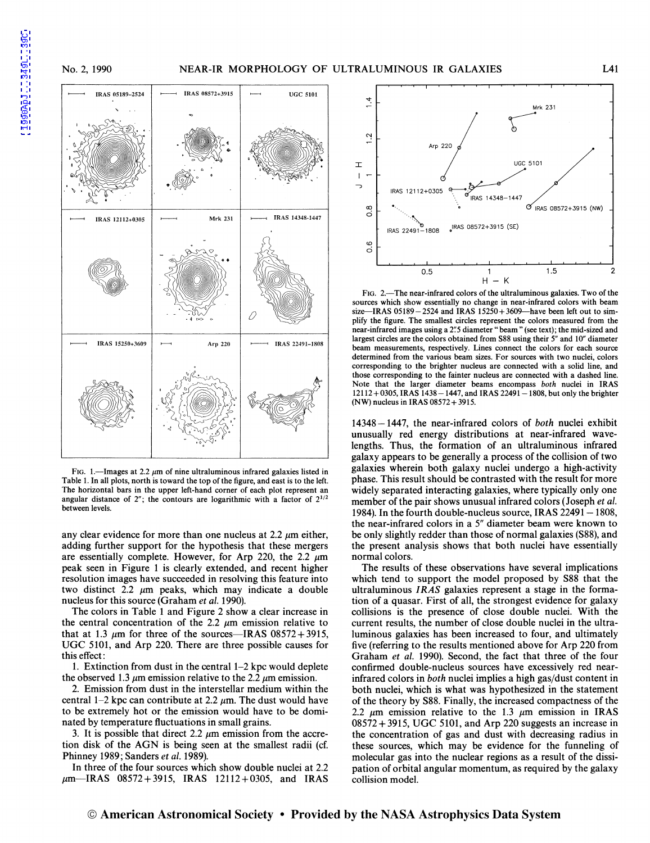

FIG. 1.-Images at 2.2  $\mu$ m of nine ultraluminous infrared galaxies listed in Table 1. In all plots, north is toward the top of the figure, and east is to the left. The horizontal bars in the upper left-hand corner of each plot represent an angular distance of  $2$ "; the contours are logarithmic with a factor of  $2^{1/2}$ between levels.

any clear evidence for more than one nucleus at 2.2  $\mu$ m either, adding further support for the hypothesis that these mergers are essentially complete. However, for Arp 220, the 2.2  $\mu$ m peak seen in Figure 1 is clearly extended, and recent higher resolution images have succeeded in resolving this feature into two distinct 2.2  $\mu$ m peaks, which may indicate a double nucleus for this source (Graham *et al.* 1990).

The colors in Table 1 and Figure 2 show a clear increase in the central concentration of the 2.2  $\mu$ m emission relative to that at 1.3  $\mu$ m for three of the sources-IRAS 08572 + 3915, UGC 5101, and Arp 220. There are three possible causes for this effect:

1. Extinction from dust in the central 1-2 kpc would deplete the observed 1.3  $\mu$ m emission relative to the 2.2  $\mu$ m emission.

2. Emission from dust in the interstellar medium within the central 1-2 kpc can contribute at 2.2  $\mu$ m. The dust would have to be extremely hot or the emission would have to be dominated by temperature fluctuations in small grains.

3. It is possible that direct 2.2  $\mu$ m emission from the accretion disk of the AGN is being seen at the smallest radii (cf. Phinney 1989; Sanders *et al.* 1989).

In three of the four sources which show double nuclei at 2.2  $\mu$ m-IRAS 08572+3915, IRAS 12112+0305, and IRAS



FIG. 2.—The near-infrared colors of the ultraluminous galaxies. Two of the sources which show essentially no change in near-infrared colors with beam size-IRAS  $05189 - 2524$  and IRAS  $15250 + 3609$ -have been left out to simplify the figure. The smallest circles represent the colors measured from the near-infrared images using a 2".5 diameter "beam" (see text); the mid-sized and largest circles are the colors obtained from S88 using their *5"* and 10" diameter beam measurements, respectively. Lines connect the colors for each source determined from the various beam sizes. For sources with two nuclei, colors corresponding to the brighter nucleus are connected with a solid line, and those corresponding to the fainter nucleus are connected with a dashed line. Note that the larger diameter beams encompass *both* nuclei in IRAS 12112+0305, IRAS 1438-1447, and IRAS 22491-1808, but only the brighter (NW) nucleus in IRAS 08572 + 3915.

14348-1447, the near-infrared colors of *both* nuclei exhibit unusually red energy distributions at near-infrared wavelengths. Thus, the formation of an ultraluminous infrared galaxy appears to be generally a process of the collision of two galaxies wherein both galaxy nuclei undergo a high-activity phase. This result should be contrasted with the result for more widely separated interacting galaxies, where typically only one member of the pair shows unusual infrared colors (Joseph *et al.*  1984). In the fourth double-nucleus source, IRAS  $22491-1808$ , the near-infrared colors in a 5" diameter beam were known to be only slightly redder than those of normal galaxies (S88), and the present analysis shows that both nuclei have essentially normal colors.

The results of these observations have several implications which tend to support the model proposed by S88 that the ultraluminous *IRAS* galaxies represent a stage in the formation of a quasar. First of all, the strongest evidence for galaxy collisions is the presence of close double nuclei. With the current results, the number of close double nuclei in the ultraluminous galaxies has been increased to four, and ultimately five (referring to the results mentioned above for Arp 220 from Graham *et al.* 1990). Second, the fact that three of the four confirmed double-nucleus sources have excessively red nearinfrared colors in *both* nuclei implies a high gas/dust content in both nuclei, which is what was hypothesized in the statement of the theory by S88. Finally, the increased compactness of the 2.2  $\mu$ m emission relative to the 1.3  $\mu$ m emission in IRAS 08572 + 3915, UGC 5101, and Arp 220 suggests an increase in the concentration of gas and dust with decreasing radius in these sources, which may be evidence for the funneling of molecular gas into the nuclear regions as a result of the dissipation of orbital angular momentum, as required by the galaxy collision model.